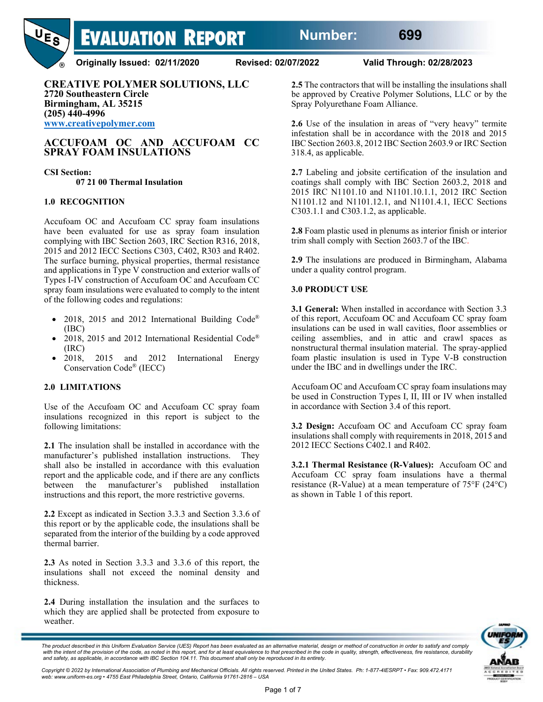

**Originally Issued: 02/11/2020 Revised: 02/07/2022 Valid Through: 02/28/2023**

**CREATIVE POLYMER SOLUTIONS, LLC 2720 Southeastern Circle Birmingham, AL 35215 (205) 440-4996 [www.creativepolymer.com](http://www.creativepolymer.com/)**

# **ACCUFOAM OC AND ACCUFOAM CC SPRAY FOAM INSULATIONS**

## **CSI Section:**

**07 21 00 Thermal Insulation**

## **1.0 RECOGNITION**

Accufoam OC and Accufoam CC spray foam insulations have been evaluated for use as spray foam insulation complying with IBC Section 2603, IRC Section R316, 2018, 2015 and 2012 IECC Sections C303, C402, R303 and R402. The surface burning, physical properties, thermal resistance and applications in Type V construction and exterior walls of Types I-IV construction of Accufoam OC and Accufoam CC spray foam insulations were evaluated to comply to the intent of the following codes and regulations:

- 2018, 2015 and 2012 International Building Code® (IBC)
- 2018, 2015 and 2012 International Residential Code® (IRC)
- 2018, 2015 and 2012 International Energy Conservation Code® (IECC)

## **2.0 LIMITATIONS**

Use of the Accufoam OC and Accufoam CC spray foam insulations recognized in this report is subject to the following limitations:

**2.1** The insulation shall be installed in accordance with the manufacturer's published installation instructions. They shall also be installed in accordance with this evaluation report and the applicable code, and if there are any conflicts between the manufacturer's published installation instructions and this report, the more restrictive governs.

**2.2** Except as indicated in Section 3.3.3 and Section 3.3.6 of this report or by the applicable code, the insulations shall be separated from the interior of the building by a code approved thermal barrier.

**2.3** As noted in Section 3.3.3 and 3.3.6 of this report, the insulations shall not exceed the nominal density and thickness.

**2.4** During installation the insulation and the surfaces to which they are applied shall be protected from exposure to weather.

**2.5** The contractors that will be installing the insulations shall be approved by Creative Polymer Solutions, LLC or by the Spray Polyurethane Foam Alliance.

**2.6** Use of the insulation in areas of "very heavy" termite infestation shall be in accordance with the 2018 and 2015 IBC Section 2603.8, 2012 IBC Section 2603.9 or IRC Section 318.4, as applicable.

**2.7** Labeling and jobsite certification of the insulation and coatings shall comply with IBC Section 2603.2, 2018 and 2015 IRC N1101.10 and N1101.10.1.1, 2012 IRC Section N1101.12 and N1101.12.1, and N1101.4.1, IECC Sections C303.1.1 and C303.1.2, as applicable.

**2.8** Foam plastic used in plenums as interior finish or interior trim shall comply with Section 2603.7 of the IBC.

**2.9** The insulations are produced in Birmingham, Alabama under a quality control program.

### **3.0 PRODUCT USE**

**3.1 General:** When installed in accordance with Section 3.3 of this report, Accufoam OC and Accufoam CC spray foam insulations can be used in wall cavities, floor assemblies or ceiling assemblies, and in attic and crawl spaces as nonstructural thermal insulation material. The spray-applied foam plastic insulation is used in Type V-B construction under the IBC and in dwellings under the IRC.

Accufoam OC and Accufoam CC spray foam insulations may be used in Construction Types I, II, III or IV when installed in accordance with Section 3.4 of this report.

**3.2 Design:** Accufoam OC and Accufoam CC spray foam insulations shall comply with requirements in 2018, 2015 and 2012 IECC Sections C402.1 and R402.

**3.2.1 Thermal Resistance (R-Values):** Accufoam OC and Accufoam CC spray foam insulations have a thermal resistance (R-Value) at a mean temperature of 75°F (24°C) as shown in Table 1 of this report.



*The product described in this Uniform Evaluation Service (UES) Report has been evaluated as an alternative material, design or method of construction in order to satisfy and comply* with the intent of the provision of the code, as noted in this report, and for at least equivalence to that prescribed in the code in quality, strength, effectiveness, fire resistance, durability<br>and safety, as applicable,

Copyright © 2022 by International Association of Plumbing and Mechanical Officials. All rights reserved. Printed in the United States. Ph: 1-877-4IESRPT • Fax: 909.472.4171<br>web: www.uniform-es.org • 4755 East Philadelphia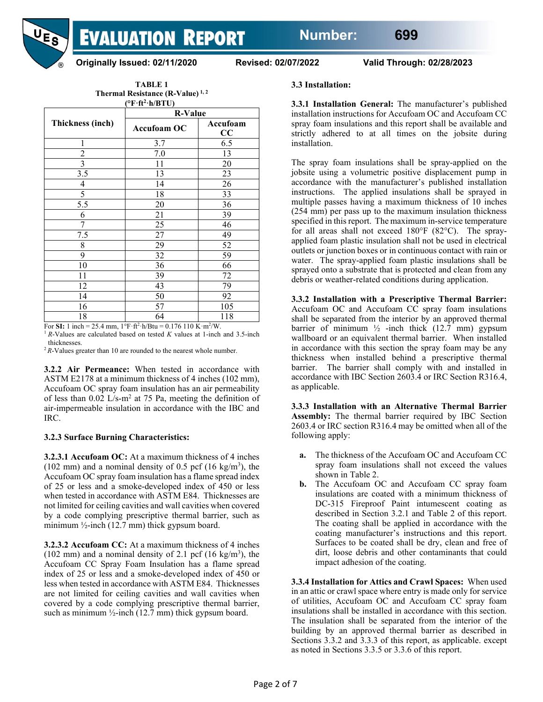

**Originally Issued: 02/11/2020 Revised: 02/07/2022 Valid Through: 02/28/2023**

| TABLE 1                                     |
|---------------------------------------------|
| Thermal Resistance (R-Value) <sup>1,2</sup> |
| $(^{\circ}F \cdot ft^2 \cdot h/BTU)$        |

|                          | <b>R-Value</b>     |                |  |
|--------------------------|--------------------|----------------|--|
| <b>Thickness (inch)</b>  | <b>Accufoam OC</b> | Accufoam<br>CC |  |
| 1                        | 3.7                | 6.5            |  |
| $\overline{c}$           | 7.0                | 13             |  |
| $\overline{3}$           | 11                 | 20             |  |
| $\overline{3.5}$         | 13                 | 23             |  |
| $\overline{\mathcal{A}}$ | 14                 | 26             |  |
| 5                        | 18                 | 33             |  |
| 5.5                      | 20                 | 36             |  |
| 6                        | 21                 | 39             |  |
| 7                        | 25                 | 46             |  |
| 7.5                      | 27                 | 49             |  |
| 8                        | 29                 | 52             |  |
| 9                        | 32                 | 59             |  |
| 10                       | 36                 | 66             |  |
| 11                       | 39                 | 72             |  |
| 12                       | 43                 | 79             |  |
| 14                       | 50                 | 92             |  |
| 16                       | 57                 | 105            |  |
| 18                       | 64                 | 118            |  |

For **SI:** 1 inch = 25.4 mm,  $1^{\circ}F \cdot ft^2 \cdot h/Btu = 0.176$  110 K $\cdot m^2/W$ .

<sup>1</sup>*R*-Values are calculated based on tested *K* values at 1-inch and 3.5-inch thicknesses.

 $2R-V$ alues greater than 10 are rounded to the nearest whole number.

**3.2.2 Air Permeance:** When tested in accordance with ASTM E2178 at a minimum thickness of 4 inches (102 mm), Accufoam OC spray foam insulation has an air permeability of less than  $0.02$  L/s-m<sup>2</sup> at 75 Pa, meeting the definition of air-impermeable insulation in accordance with the IBC and IRC.

## **3.2.3 Surface Burning Characteristics:**

**3.2.3.1 Accufoam OC:** At a maximum thickness of 4 inches (102 mm) and a nominal density of 0.5 pcf (16 kg/m<sup>3</sup>), the Accufoam OC spray foam insulation has a flame spread index of 25 or less and a smoke-developed index of 450 or less when tested in accordance with ASTM E84. Thicknesses are not limited for ceiling cavities and wall cavities when covered by a code complying prescriptive thermal barrier, such as minimum ½-inch (12.7 mm) thick gypsum board.

**3.2.3.2 Accufoam CC:** At a maximum thickness of 4 inches (102 mm) and a nominal density of 2.1 pcf (16 kg/m<sup>3</sup>), the Accufoam CC Spray Foam Insulation has a flame spread index of 25 or less and a smoke-developed index of 450 or less when tested in accordance with ASTM E84. Thicknesses are not limited for ceiling cavities and wall cavities when covered by a code complying prescriptive thermal barrier, such as minimum  $\frac{1}{2}$ -inch (12.7 mm) thick gypsum board.

### **3.3 Installation:**

**3.3.1 Installation General:** The manufacturer's published installation instructions for Accufoam OC and Accufoam CC spray foam insulations and this report shall be available and strictly adhered to at all times on the jobsite during installation.

The spray foam insulations shall be spray-applied on the jobsite using a volumetric positive displacement pump in accordance with the manufacturer's published installation instructions. The applied insulations shall be sprayed in multiple passes having a maximum thickness of 10 inches (254 mm) per pass up to the maximum insulation thickness specified in this report. The maximum in-service temperature for all areas shall not exceed 180°F (82°C). The sprayapplied foam plastic insulation shall not be used in electrical outlets or junction boxes or in continuous contact with rain or water. The spray-applied foam plastic insulations shall be sprayed onto a substrate that is protected and clean from any debris or weather-related conditions during application.

**3.3.2 Installation with a Prescriptive Thermal Barrier:**  Accufoam OC and Accufoam CC spray foam insulations shall be separated from the interior by an approved thermal barrier of minimum ½ -inch thick (12.7 mm) gypsum wallboard or an equivalent thermal barrier. When installed in accordance with this section the spray foam may be any thickness when installed behind a prescriptive thermal barrier. The barrier shall comply with and installed in accordance with IBC Section 2603.4 or IRC Section R316.4, as applicable.

**3.3.3 Installation with an Alternative Thermal Barrier Assembly:** The thermal barrier required by IBC Section 2603.4 or IRC section R316.4 may be omitted when all of the following apply:

- **a.** The thickness of the Accufoam OC and Accufoam CC spray foam insulations shall not exceed the values shown in Table 2.
- **b.** The Accufoam OC and Accufoam CC spray foam insulations are coated with a minimum thickness of DC-315 Fireproof Paint intumescent coating as described in Section 3.2.1 and Table 2 of this report. The coating shall be applied in accordance with the coating manufacturer's instructions and this report. Surfaces to be coated shall be dry, clean and free of dirt, loose debris and other contaminants that could impact adhesion of the coating.

**3.3.4 Installation for Attics and Crawl Spaces:** When used in an attic or crawl space where entry is made only for service of utilities, Accufoam OC and Accufoam CC spray foam insulations shall be installed in accordance with this section. The insulation shall be separated from the interior of the building by an approved thermal barrier as described in Sections 3.3.2 and 3.3.3 of this report, as applicable. except as noted in Sections 3.3.5 or 3.3.6 of this report.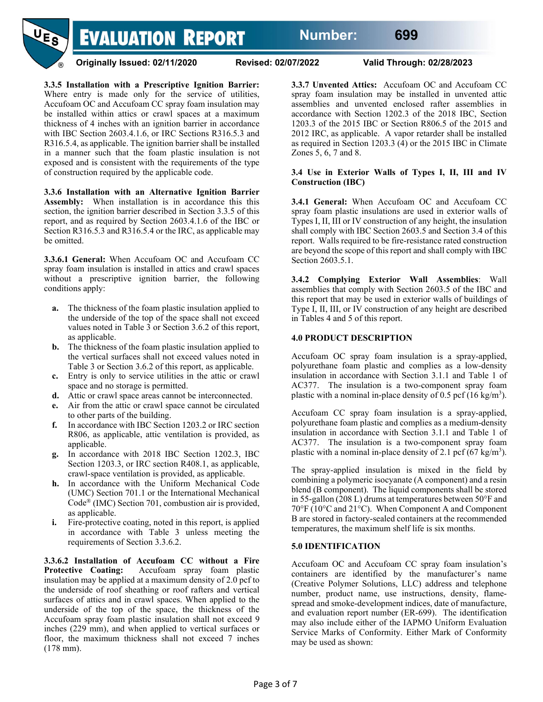

**Originally Issued: 02/11/2020 Revised: 02/07/2022 Valid Through: 02/28/2023**

**3.3.5 Installation with a Prescriptive Ignition Barrier:**  Where entry is made only for the service of utilities, Accufoam OC and Accufoam CC spray foam insulation may be installed within attics or crawl spaces at a maximum thickness of 4 inches with an ignition barrier in accordance with IBC Section 2603.4.1.6, or IRC Sections R316.5.3 and R316.5.4, as applicable. The ignition barrier shall be installed in a manner such that the foam plastic insulation is not exposed and is consistent with the requirements of the type of construction required by the applicable code.

**3.3.6 Installation with an Alternative Ignition Barrier Assembly:** When installation is in accordance this this section, the ignition barrier described in Section 3.3.5 of this report, and as required by Section 2603.4.1.6 of the IBC or Section R316.5.3 and R316.5.4 or the IRC, as applicable may be omitted.

**3.3.6.1 General:** When Accufoam OC and Accufoam CC spray foam insulation is installed in attics and crawl spaces without a prescriptive ignition barrier, the following conditions apply:

- **a.** The thickness of the foam plastic insulation applied to the underside of the top of the space shall not exceed values noted in Table 3 or Section 3.6.2 of this report, as applicable.
- **b.** The thickness of the foam plastic insulation applied to the vertical surfaces shall not exceed values noted in Table 3 or Section 3.6.2 of this report, as applicable.
- **c.** Entry is only to service utilities in the attic or crawl space and no storage is permitted.
- **d.** Attic or crawl space areas cannot be interconnected.
- **e.** Air from the attic or crawl space cannot be circulated to other parts of the building.
- **f.** In accordance with IBC Section 1203.2 or IRC section R806, as applicable, attic ventilation is provided, as applicable.
- **g.** In accordance with 2018 IBC Section 1202.3, IBC Section 1203.3, or IRC section R408.1, as applicable, crawl-space ventilation is provided, as applicable.
- **h.** In accordance with the Uniform Mechanical Code (UMC) Section 701.1 or the International Mechanical Code® (IMC) Section 701, combustion air is provided, as applicable.
- **i.** Fire-protective coating, noted in this report, is applied in accordance with Table 3 unless meeting the requirements of Section 3.3.6.2.

**3.3.6.2 Installation of Accufoam CC without a Fire Protective Coating:** Accufoam spray foam plastic insulation may be applied at a maximum density of 2.0 pcf to the underside of roof sheathing or roof rafters and vertical surfaces of attics and in crawl spaces. When applied to the underside of the top of the space, the thickness of the Accufoam spray foam plastic insulation shall not exceed 9 inches (229 mm), and when applied to vertical surfaces or floor, the maximum thickness shall not exceed 7 inches (178 mm).

**3.3.7 Unvented Attics:** Accufoam OC and Accufoam CC spray foam insulation may be installed in unvented attic assemblies and unvented enclosed rafter assemblies in accordance with Section 1202.3 of the 2018 IBC, Section 1203.3 of the 2015 IBC or Section R806.5 of the 2015 and 2012 IRC, as applicable. A vapor retarder shall be installed as required in Section 1203.3 (4) or the 2015 IBC in Climate Zones 5, 6, 7 and 8.

## **3.4 Use in Exterior Walls of Types I, II, III and IV Construction (IBC)**

**3.4.1 General:** When Accufoam OC and Accufoam CC spray foam plastic insulations are used in exterior walls of Types I, II, III or IV construction of any height, the insulation shall comply with IBC Section 2603.5 and Section 3.4 of this report. Walls required to be fire-resistance rated construction are beyond the scope of this report and shall comply with IBC Section 2603.5.1.

**3.4.2 Complying Exterior Wall Assemblies**: Wall assemblies that comply with Section 2603.5 of the IBC and this report that may be used in exterior walls of buildings of Type I, II, III, or IV construction of any height are described in Tables 4 and 5 of this report.

# **4.0 PRODUCT DESCRIPTION**

Accufoam OC spray foam insulation is a spray-applied, polyurethane foam plastic and complies as a low-density insulation in accordance with Section 3.1.1 and Table 1 of AC377. The insulation is a two-component spray foam plastic with a nominal in-place density of  $0.5$  pcf (16 kg/m<sup>3</sup>).

Accufoam CC spray foam insulation is a spray-applied, polyurethane foam plastic and complies as a medium-density insulation in accordance with Section 3.1.1 and Table 1 of AC377. The insulation is a two-component spray foam plastic with a nominal in-place density of 2.1 pcf  $(67 \text{ kg/m}^3)$ .

The spray-applied insulation is mixed in the field by combining a polymeric isocyanate (A component) and a resin blend (B component). The liquid components shall be stored in 55-gallon (208 L) drums at temperatures between 50°F and 70°F (10°C and 21°C). When Component A and Component B are stored in factory-sealed containers at the recommended temperatures, the maximum shelf life is six months.

# **5.0 IDENTIFICATION**

Accufoam OC and Accufoam CC spray foam insulation's containers are identified by the manufacturer's name (Creative Polymer Solutions, LLC) address and telephone number, product name, use instructions, density, flamespread and smoke-development indices, date of manufacture, and evaluation report number (ER-699). The identification may also include either of the IAPMO Uniform Evaluation Service Marks of Conformity. Either Mark of Conformity may be used as shown: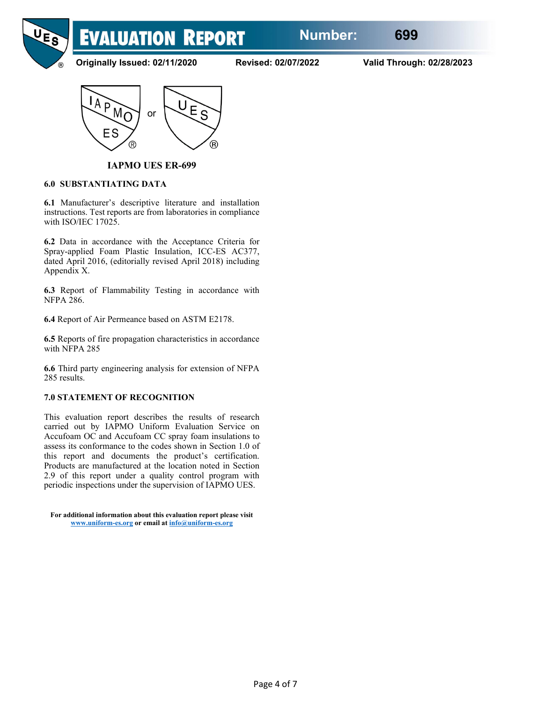

**Originally Issued: 02/11/2020 Revised: 02/07/2022 Valid Through: 02/28/2023**



**IAPMO UES ER-699**

## **6.0 SUBSTANTIATING DATA**

**6.1** Manufacturer's descriptive literature and installation instructions. Test reports are from laboratories in compliance with ISO/IEC 17025.

**6.2** Data in accordance with the Acceptance Criteria for Spray-applied Foam Plastic Insulation, ICC-ES AC377, dated April 2016, (editorially revised April 2018) including Appendix X.

**6.3** Report of Flammability Testing in accordance with NFPA 286.

**6.4** Report of Air Permeance based on ASTM E2178.

**6.5** Reports of fire propagation characteristics in accordance with NFPA 285

**6.6** Third party engineering analysis for extension of NFPA 285 results.

# **7.0 STATEMENT OF RECOGNITION**

This evaluation report describes the results of research carried out by IAPMO Uniform Evaluation Service on Accufoam OC and Accufoam CC spray foam insulations to assess its conformance to the codes shown in Section 1.0 of this report and documents the product's certification. Products are manufactured at the location noted in Section 2.9 of this report under a quality control program with periodic inspections under the supervision of IAPMO UES.

**For additional information about this evaluation report please visit [www.uniform-es.org](http://www.uniform-es.org/) or email at info@uniform-es.org**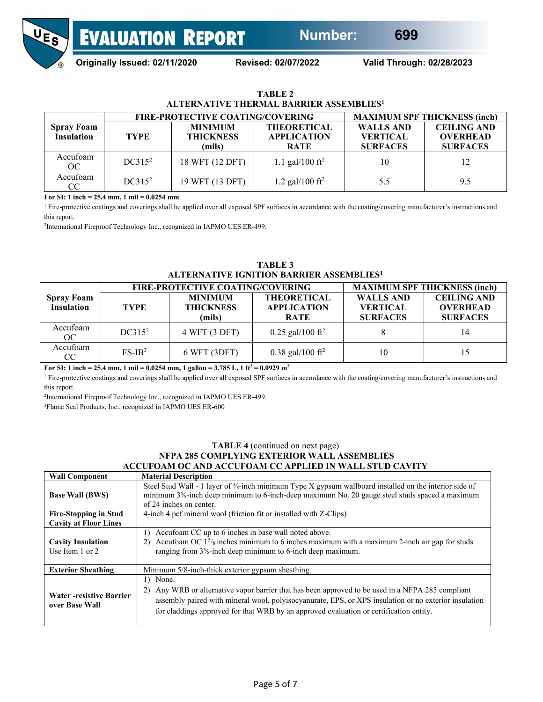

**Originally Issued: 02/11/2020 Revised: 02/07/2022 Valid Through: 02/28/2023**

| TABLE 2                                             |
|-----------------------------------------------------|
| ALTERNATIVE THERMAL BARRIER ASSEMBLIES <sup>1</sup> |

|                                        | <b>FIRE-PROTECTIVE COATING/COVERING</b> |                                              |                                                         | <b>MAXIMUM SPF THICKNESS (inch)</b>                    |                                                          |  |
|----------------------------------------|-----------------------------------------|----------------------------------------------|---------------------------------------------------------|--------------------------------------------------------|----------------------------------------------------------|--|
| <b>Spray Foam</b><br><b>Insulation</b> | <b>TYPE</b>                             | <b>MINIMUM</b><br><b>THICKNESS</b><br>(mils) | <b>THEORETICAL</b><br><b>APPLICATION</b><br><b>RATE</b> | <b>WALLS AND</b><br><b>VERTICAL</b><br><b>SURFACES</b> | <b>CEILING AND</b><br><b>OVERHEAD</b><br><b>SURFACES</b> |  |
| Accufoam<br>OC                         | $DC315^2$                               | 18 WFT (12 DFT)                              | 1.1 gal/100 ft <sup>2</sup>                             | 10                                                     | 12                                                       |  |
| Accufoam<br>CC                         | $DC315^2$                               | 19 WFT (13 DFT)                              | 1.2 gal/100 $\rm ft^2$                                  | 5.5                                                    | 9.5                                                      |  |

**For SI: 1 inch = 25.4 mm, 1 mil = 0.0254 mm**

<sup>1</sup> Fire-protective coatings and coverings shall be applied over all exposed SPF surfaces in accordance with the coating/covering manufacturer's instructions and this report.

<sup>2</sup>International Fireproof Technology Inc., recognized in IAPMO UES ER-499.

| <b>TABLE 3</b>                                       |
|------------------------------------------------------|
| ALTERNATIVE IGNITION BARRIER ASSEMBLIES <sup>1</sup> |

|                                        | <b>FIRE-PROTECTIVE COATING/COVERING</b> |                                              |                                                         | <b>MAXIMUM SPF THICKNESS (inch)</b>                    |                                                          |
|----------------------------------------|-----------------------------------------|----------------------------------------------|---------------------------------------------------------|--------------------------------------------------------|----------------------------------------------------------|
| <b>Spray Foam</b><br><b>Insulation</b> | <b>TYPE</b>                             | <b>MINIMUM</b><br><b>THICKNESS</b><br>(mils) | <b>THEORETICAL</b><br><b>APPLICATION</b><br><b>RATE</b> | <b>WALLS AND</b><br><b>VERTICAL</b><br><b>SURFACES</b> | <b>CEILING AND</b><br><b>OVERHEAD</b><br><b>SURFACES</b> |
| Accufoam<br>OC                         | DC315 <sup>2</sup>                      | 4 WFT (3 DFT)                                | $0.25$ gal/100 ft <sup>2</sup>                          |                                                        | 14                                                       |
| Accufoam<br>CC                         | $FS-IB^3$                               | 6 WFT (3DFT)                                 | $0.38$ gal/100 ft <sup>2</sup>                          | 10                                                     | 15                                                       |

For SI: 1 inch = 25.4 mm, 1 mil =  $0.0254$  mm, 1 gallon =  $3.785$  L, 1 ft<sup>2</sup> =  $0.0929$  m<sup>2</sup>

<sup>1</sup> Fire-protective coatings and coverings shall be applied over all exposed SPF surfaces in accordance with the coating/covering manufacturer's instructions and this report.

2 International Fireproof Technology Inc., recognized in IAPMO UES ER-499.

<sup>3</sup>Flame Seal Products, Inc., recognized in IAPMO UES ER-600

#### **TABLE 4** (continued on next page) **NFPA 285 COMPLYING EXTERIOR WALL ASSEMBLIES ACCUFOAM OC AND ACCUFOAM CC APPLIED IN WALL STUD CAVITY**

| <b>Wall Component</b>                             | <b>Material Description</b>                                                                                                                                                                                                                                                                                            |
|---------------------------------------------------|------------------------------------------------------------------------------------------------------------------------------------------------------------------------------------------------------------------------------------------------------------------------------------------------------------------------|
| <b>Base Wall (BWS)</b>                            | Steel Stud Wall - 1 layer of 5/8-inch minimum Type X gypsum wallboard installed on the interior side of<br>minimum 3%-inch deep minimum to 6-inch-deep maximum No. 20 gauge steel studs spaced a maximum<br>of 24 inches on center.                                                                                    |
| <b>Fire-Stopping in Stud</b>                      | 4-inch 4 pcf mineral wool (friction fit or installed with Z-Clips)                                                                                                                                                                                                                                                     |
| <b>Cavity at Floor Lines</b>                      |                                                                                                                                                                                                                                                                                                                        |
| <b>Cavity Insulation</b><br>Use Item 1 or 2       | Accufoam CC up to 6 inches in base wall noted above.<br>$\overline{1}$<br>Accufoam OC $1\frac{5}{8}$ inches minimum to 6 inches maximum with a maximum 2-inch air gap for studs<br>2)<br>ranging from 3%-inch deep minimum to 6-inch deep maximum.                                                                     |
| <b>Exterior Sheathing</b>                         | Minimum 5/8-inch-thick exterior gypsum sheathing.                                                                                                                                                                                                                                                                      |
| <b>Water -resistive Barrier</b><br>over Base Wall | None.<br>1)<br>Any WRB or alternative vapor barrier that has been approved to be used in a NFPA 285 compliant<br>2)<br>assembly paired with mineral wool, polyisocyanurate, EPS, or XPS insulation or no exterior insulation<br>for claddings approved for that WRB by an approved evaluation or certification entity. |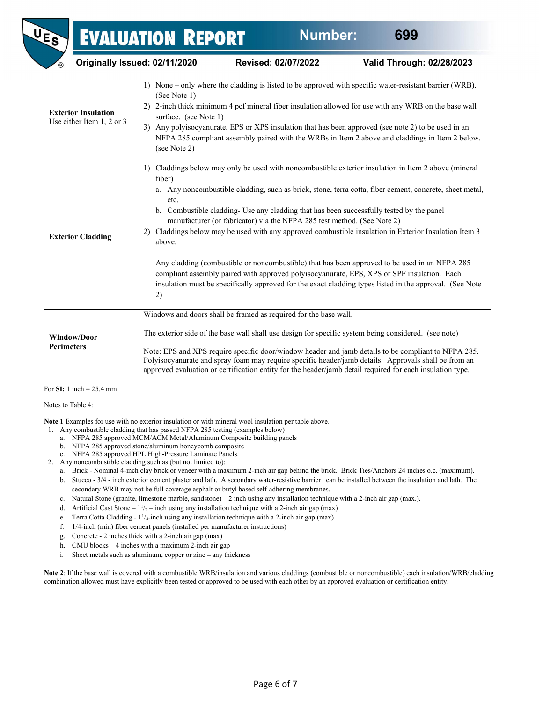| <b>(R)</b>                                              | Originally Issued: 02/11/2020                               | Revised: 02/07/2022                                                                                                                                                                                                                                                                   | Valid Through: 02/28/2023                                                                                                                                                                                                                                                                                                                                                                                                                                                                                                      |
|---------------------------------------------------------|-------------------------------------------------------------|---------------------------------------------------------------------------------------------------------------------------------------------------------------------------------------------------------------------------------------------------------------------------------------|--------------------------------------------------------------------------------------------------------------------------------------------------------------------------------------------------------------------------------------------------------------------------------------------------------------------------------------------------------------------------------------------------------------------------------------------------------------------------------------------------------------------------------|
| <b>Exterior Insulation</b><br>Use either Item 1, 2 or 3 | 1)<br>(See Note 1)<br>surface. (see Note 1)<br>(see Note 2) |                                                                                                                                                                                                                                                                                       | None – only where the cladding is listed to be approved with specific water-resistant barrier (WRB).<br>2) 2-inch thick minimum 4 pcf mineral fiber insulation allowed for use with any WRB on the base wall<br>3) Any polyisocyanurate, EPS or XPS insulation that has been approved (see note 2) to be used in an<br>NFPA 285 compliant assembly paired with the WRBs in Item 2 above and claddings in Item 2 below.                                                                                                         |
| <b>Exterior Cladding</b>                                | 1)<br>fiber)<br>etc.<br>2)<br>above.<br>2)                  | b. Combustible cladding- Use any cladding that has been successfully tested by the panel<br>manufacturer (or fabricator) via the NFPA 285 test method. (See Note 2)<br>compliant assembly paired with approved polyisocyanurate, EPS, XPS or SPF insulation. Each                     | Claddings below may only be used with noncombustible exterior insulation in Item 2 above (mineral<br>a. Any noncombustible cladding, such as brick, stone, terra cotta, fiber cement, concrete, sheet metal,<br>Claddings below may be used with any approved combustible insulation in Exterior Insulation Item 3<br>Any cladding (combustible or noncombustible) that has been approved to be used in an NFPA 285<br>insulation must be specifically approved for the exact cladding types listed in the approval. (See Note |
| <b>Window/Door</b><br><b>Perimeters</b>                 |                                                             | Windows and doors shall be framed as required for the base wall.<br>The exterior side of the base wall shall use design for specific system being considered. (see note)<br>approved evaluation or certification entity for the header/jamb detail required for each insulation type. | Note: EPS and XPS require specific door/window header and jamb details to be compliant to NFPA 285.<br>Polyisocyanurate and spray foam may require specific header/jamb details. Approvals shall be from an                                                                                                                                                                                                                                                                                                                    |

For **SI:** 1 inch = 25.4 mm

Notes to Table 4:

**Note 1** Examples for use with no exterior insulation or with mineral wool insulation per table above.

- 1. Any combustible cladding that has passed NFPA 285 testing (examples below)
	- a. NFPA 285 approved MCM/ACM Metal/Aluminum Composite building panels
	- b. NFPA 285 approved stone/aluminum honeycomb composite
	- c. NFPA 285 approved HPL High-Pressure Laminate Panels.
- 2. Any noncombustible cladding such as (but not limited to):
	- a. Brick Nominal 4-inch clay brick or veneer with a maximum 2-inch air gap behind the brick. Brick Ties/Anchors 24 inches o.c. (maximum).
	- b. Stucco 3/4 inch exterior cement plaster and lath. A secondary water-resistive barrier can be installed between the insulation and lath. The secondary WRB may not be full coverage asphalt or butyl based self-adhering membranes.
	- c. Natural Stone (granite, limestone marble, sandstone) 2 inch using any installation technique with a 2-inch air gap (max.).
	- d. Artificial Cast Stone  $1\frac{1}{2}$  inch using any installation technique with a 2-inch air gap (max)
	- e. Terra Cotta Cladding  $1^{1}/_{4}$ -inch using any installation technique with a 2-inch air gap (max)
	- f. 1/4-inch (min) fiber cement panels (installed per manufacturer instructions)
	- g. Concrete 2 inches thick with a 2-inch air gap (max)
	- h. CMU blocks 4 inches with a maximum 2-inch air gap
	- i. Sheet metals such as aluminum, copper or zinc any thickness

**Note 2**: If the base wall is covered with a combustible WRB/insulation and various claddings (combustible or noncombustible) each insulation/WRB/cladding combination allowed must have explicitly been tested or approved to be used with each other by an approved evaluation or certification entity.